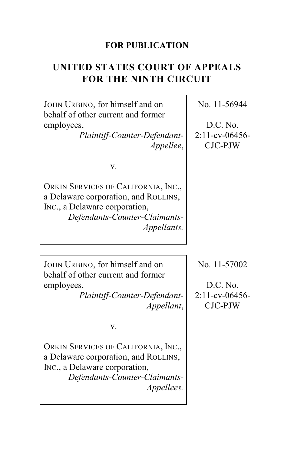## **FOR PUBLICATION**

# **UNITED STATES COURT OF APPEALS FOR THE NINTH CIRCUIT**

 $\overline{\phantom{a}}$ 

| JOHN URBINO, for himself and on<br>behalf of other current and former                                                                                        | No. 11-56944                                          |
|--------------------------------------------------------------------------------------------------------------------------------------------------------------|-------------------------------------------------------|
| employees,                                                                                                                                                   | D.C. No.                                              |
| Plaintiff-Counter-Defendant-                                                                                                                                 | $2:11$ -cv-06456-                                     |
| Appellee,                                                                                                                                                    | CJC-PJW                                               |
|                                                                                                                                                              |                                                       |
| V.                                                                                                                                                           |                                                       |
| ORKIN SERVICES OF CALIFORNIA, INC.,<br>a Delaware corporation, and ROLLINS,<br>INC., a Delaware corporation,<br>Defendants-Counter-Claimants-<br>Appellants. |                                                       |
|                                                                                                                                                              |                                                       |
| JOHN URBINO, for himself and on<br>behalf of other current and former<br>employees,<br>Plaintiff-Counter-Defendant-<br>Appellant,                            | No. 11-57002<br>D.C. No.<br>2:11-cv-06456-<br>CJC-PJW |
| V.                                                                                                                                                           |                                                       |
| ORKIN SERVICES OF CALIFORNIA, INC.,<br>a Delaware corporation, and ROLLINS,<br>INC., a Delaware corporation,<br>Defendants-Counter-Claimants-<br>Appellees.  |                                                       |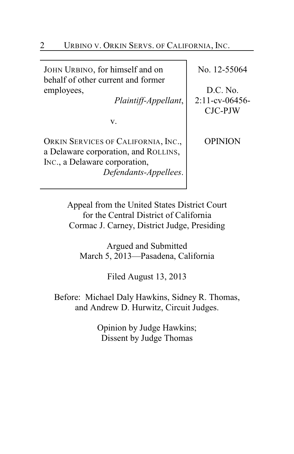JOHN URBINO, for himself and on behalf of other current and former employees,

*Plaintiff-Appellant*,

v.

ORKIN SERVICES OF CALIFORNIA, INC., a Delaware corporation, and ROLLINS, INC., a Delaware corporation, *Defendants-Appellees*. No. 12-55064

D.C. No. 2:11-cv-06456- CJC-PJW

OPINION

Appeal from the United States District Court for the Central District of California Cormac J. Carney, District Judge, Presiding

Argued and Submitted March 5, 2013—Pasadena, California

Filed August 13, 2013

Before: Michael Daly Hawkins, Sidney R. Thomas, and Andrew D. Hurwitz, Circuit Judges.

> Opinion by Judge Hawkins; Dissent by Judge Thomas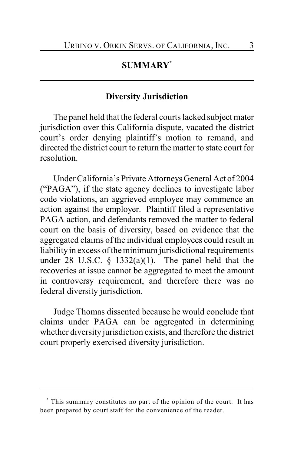## **SUMMARY \***

## **Diversity Jurisdiction**

The panel held that the federal courts lacked subject mater jurisdiction over this California dispute, vacated the district court's order denying plaintiff's motion to remand, and directed the district court to return the matter to state court for resolution.

UnderCalifornia's Private Attorneys General Act of 2004 ("PAGA"), if the state agency declines to investigate labor code violations, an aggrieved employee may commence an action against the employer. Plaintiff filed a representative PAGA action, and defendants removed the matter to federal court on the basis of diversity, based on evidence that the aggregated claims of the individual employees could result in liability in excess of the minimum jurisdictional requirements under 28 U.S.C.  $\frac{1332(a)(1)}{1}$ . The panel held that the recoveries at issue cannot be aggregated to meet the amount in controversy requirement, and therefore there was no federal diversity jurisdiction.

Judge Thomas dissented because he would conclude that claims under PAGA can be aggregated in determining whether diversity jurisdiction exists, and therefore the district court properly exercised diversity jurisdiction.

This summary constitutes no part of the opinion of the court. It has **\*** been prepared by court staff for the convenience of the reader.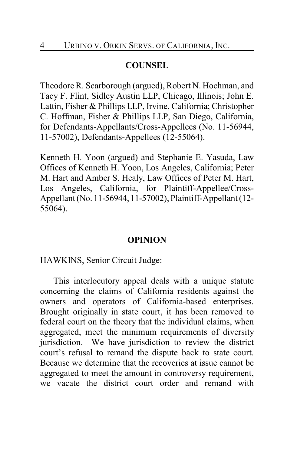## **COUNSEL**

Theodore R. Scarborough (argued), Robert N. Hochman, and Tacy F. Flint, Sidley Austin LLP, Chicago, Illinois; John E. Lattin, Fisher & Phillips LLP, Irvine, California; Christopher C. Hoffman, Fisher & Phillips LLP, San Diego, California, for Defendants-Appellants/Cross-Appellees (No. 11-56944, 11-57002), Defendants-Appellees (12-55064).

Kenneth H. Yoon (argued) and Stephanie E. Yasuda, Law Offices of Kenneth H. Yoon, Los Angeles, California; Peter M. Hart and Amber S. Healy, Law Offices of Peter M. Hart, Los Angeles, California, for Plaintiff-Appellee/Cross-Appellant (No. 11-56944, 11-57002), Plaintiff-Appellant (12- 55064).

#### **OPINION**

HAWKINS, Senior Circuit Judge:

This interlocutory appeal deals with a unique statute concerning the claims of California residents against the owners and operators of California-based enterprises. Brought originally in state court, it has been removed to federal court on the theory that the individual claims, when aggregated, meet the minimum requirements of diversity jurisdiction. We have jurisdiction to review the district court's refusal to remand the dispute back to state court. Because we determine that the recoveries at issue cannot be aggregated to meet the amount in controversy requirement, we vacate the district court order and remand with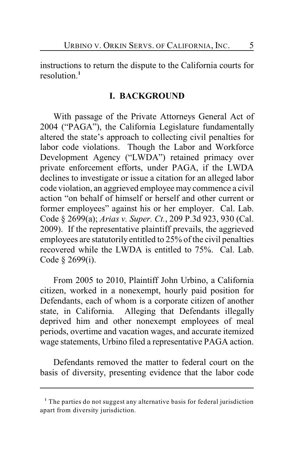instructions to return the dispute to the California courts for resolution.**<sup>1</sup>**

## **I. BACKGROUND**

With passage of the Private Attorneys General Act of 2004 ("PAGA"), the California Legislature fundamentally altered the state's approach to collecting civil penalties for labor code violations. Though the Labor and Workforce Development Agency ("LWDA") retained primacy over private enforcement efforts, under PAGA, if the LWDA declines to investigate or issue a citation for an alleged labor code violation, an aggrieved employee may commence a civil action "on behalf of himself or herself and other current or former employees" against his or her employer. Cal. Lab. Code § 2699(a); *Arias v. Super. Ct.*, 209 P.3d 923, 930 (Cal. 2009). If the representative plaintiff prevails, the aggrieved employees are statutorily entitled to 25% of the civil penalties recovered while the LWDA is entitled to 75%. Cal. Lab. Code § 2699(i).

From 2005 to 2010, Plaintiff John Urbino, a California citizen, worked in a nonexempt, hourly paid position for Defendants, each of whom is a corporate citizen of another state, in California. Alleging that Defendants illegally deprived him and other nonexempt employees of meal periods, overtime and vacation wages, and accurate itemized wage statements, Urbino filed a representative PAGA action.

Defendants removed the matter to federal court on the basis of diversity, presenting evidence that the labor code

<sup>&</sup>lt;sup>1</sup> The parties do not suggest any alternative basis for federal jurisdiction apart from diversity jurisdiction.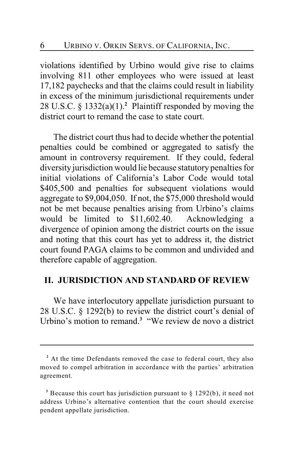violations identified by Urbino would give rise to claims involving 811 other employees who were issued at least 17,182 paychecks and that the claims could result in liability in excess of the minimum jurisdictional requirements under 28 U.S.C.  $\S$  1332(a)(1).<sup>2</sup> Plaintiff responded by moving the district court to remand the case to state court.

The district court thus had to decide whether the potential penalties could be combined or aggregated to satisfy the amount in controversy requirement. If they could, federal diversity jurisdiction would lie because statutory penalties for initial violations of California's Labor Code would total \$405,500 and penalties for subsequent violations would aggregate to \$9,004,050. If not, the \$75,000 threshold would not be met because penalties arising from Urbino's claims would be limited to \$11,602.40. Acknowledging a divergence of opinion among the district courts on the issue and noting that this court has yet to address it, the district court found PAGA claims to be common and undivided and therefore capable of aggregation.

## **II. JURISDICTION AND STANDARD OF REVIEW**

We have interlocutory appellate jurisdiction pursuant to 28 U.S.C. § 1292(b) to review the district court's denial of Urbino's motion to remand.<sup>3</sup> "We review de novo a district

At the time Defendants removed the case to federal court, they also **<sup>2</sup>** moved to compel arbitration in accordance with the parties' arbitration agreement.

<sup>&</sup>lt;sup>3</sup> Because this court has jurisdiction pursuant to  $\S$  1292(b), it need not address Urbino's alternative contention that the court should exercise pendent appellate jurisdiction.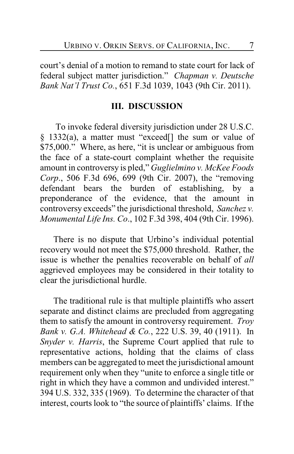court's denial of a motion to remand to state court for lack of federal subject matter jurisdiction." *Chapman v. Deutsche Bank Nat'l Trust Co.*, 651 F.3d 1039, 1043 (9th Cir. 2011).

## **III. DISCUSSION**

 To invoke federal diversity jurisdiction under 28 U.S.C. § 1332(a), a matter must "exceed[] the sum or value of \$75,000." Where, as here, "it is unclear or ambiguous from the face of a state-court complaint whether the requisite amount in controversy is pled," *Guglielmino v. McKee Foods Corp*., 506 F.3d 696, 699 (9th Cir. 2007), the "removing defendant bears the burden of establishing, by a preponderance of the evidence, that the amount in controversy exceeds" the jurisdictional threshold, *Sanchez v. Monumental Life Ins. Co*., 102 F.3d 398, 404 (9th Cir. 1996).

There is no dispute that Urbino's individual potential recovery would not meet the \$75,000 threshold. Rather, the issue is whether the penalties recoverable on behalf of *all* aggrieved employees may be considered in their totality to clear the jurisdictional hurdle.

The traditional rule is that multiple plaintiffs who assert separate and distinct claims are precluded from aggregating them to satisfy the amount in controversy requirement. *Troy Bank v. G.A. Whitehead & Co.*, 222 U.S. 39, 40 (1911). In *Snyder v. Harris*, the Supreme Court applied that rule to representative actions, holding that the claims of class members can be aggregated to meet the jurisdictional amount requirement only when they "unite to enforce a single title or right in which they have a common and undivided interest." 394 U.S. 332, 335 (1969). To determine the character of that interest, courts look to "the source of plaintiffs' claims. If the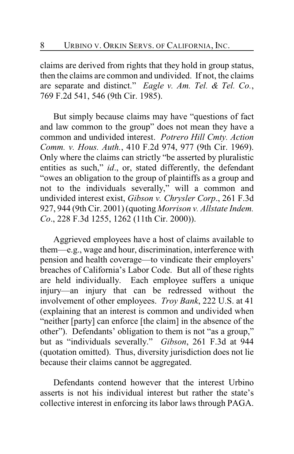claims are derived from rights that they hold in group status, then the claims are common and undivided. If not, the claims are separate and distinct." *Eagle v. Am. Tel. & Tel. Co.*, 769 F.2d 541, 546 (9th Cir. 1985).

But simply because claims may have "questions of fact and law common to the group" does not mean they have a common and undivided interest. *Potrero Hill Cmty. Action Comm. v. Hous. Auth.*, 410 F.2d 974, 977 (9th Cir. 1969). Only where the claims can strictly "be asserted by pluralistic entities as such," *id*., or, stated differently, the defendant "owes an obligation to the group of plaintiffs as a group and not to the individuals severally," will a common and undivided interest exist, *Gibson v. Chrysler Corp*., 261 F.3d 927, 944 (9th Cir. 2001) (quoting *Morrison v. Allstate Indem. Co*., 228 F.3d 1255, 1262 (11th Cir. 2000)).

Aggrieved employees have a host of claims available to them—e.g., wage and hour, discrimination, interference with pension and health coverage—to vindicate their employers' breaches of California's Labor Code. But all of these rights are held individually. Each employee suffers a unique injury—an injury that can be redressed without the involvement of other employees. *Troy Bank*, 222 U.S. at 41 (explaining that an interest is common and undivided when "neither [party] can enforce [the claim] in the absence of the other"). Defendants' obligation to them is not "as a group," but as "individuals severally." *Gibson*, 261 F.3d at 944 (quotation omitted). Thus, diversity jurisdiction does not lie because their claims cannot be aggregated.

Defendants contend however that the interest Urbino asserts is not his individual interest but rather the state's collective interest in enforcing its labor laws through PAGA.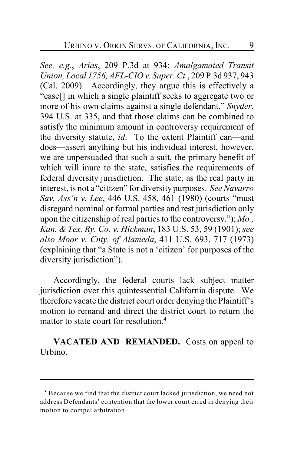*See, e.g.*, *Arias*, 209 P.3d at 934; *Amalgamated Transit Union, Local 1756, AFL-CIO v. Super. Ct.*, 209 P.3d 937, 943 (Cal. 2009). Accordingly, they argue this is effectively a "case[] in which a single plaintiff seeks to aggregate two or more of his own claims against a single defendant," *Snyder*, 394 U.S. at 335, and that those claims can be combined to satisfy the minimum amount in controversy requirement of the diversity statute, *id*. To the extent Plaintiff can—and does—assert anything but his individual interest, however, we are unpersuaded that such a suit, the primary benefit of which will inure to the state, satisfies the requirements of federal diversity jurisdiction. The state, as the real party in interest, is not a "citizen" for diversity purposes. *See Navarro Sav. Ass'n v. Lee*, 446 U.S. 458, 461 (1980) (courts "must disregard nominal or formal parties and rest jurisdiction only upon the citizenship of real parties to the controversy."); *Mo., Kan. & Tex. Ry. Co. v. Hickman*, 183 U.S. 53, 59 (1901); *see also Moor v. Cnty. of Alameda*, 411 U.S. 693, 717 (1973) (explaining that "a State is not a 'citizen' for purposes of the diversity jurisdiction").

Accordingly, the federal courts lack subject matter jurisdiction over this quintessential California dispute. We therefore vacate the district court order denying the Plaintiff's motion to remand and direct the district court to return the matter to state court for resolution.**<sup>4</sup>**

**VACATED AND REMANDED.** Costs on appeal to Urbino.

Because we find that the district court lacked jurisdiction, we need not **<sup>4</sup>** address Defendants' contention that the lower court erred in denying their motion to compel arbitration.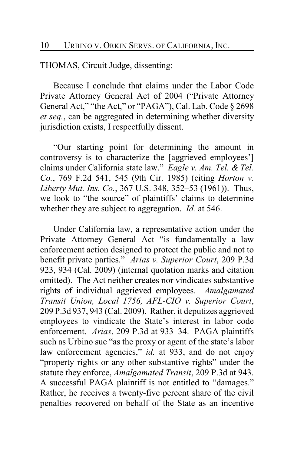THOMAS, Circuit Judge, dissenting:

Because I conclude that claims under the Labor Code Private Attorney General Act of 2004 ("Private Attorney General Act," "the Act," or "PAGA"), Cal. Lab. Code § 2698 *et seq.*, can be aggregated in determining whether diversity jurisdiction exists, I respectfully dissent.

"Our starting point for determining the amount in controversy is to characterize the [aggrieved employees'] claims under California state law." *Eagle v. Am. Tel. & Tel. Co.*, 769 F.2d 541, 545 (9th Cir. 1985) (citing *Horton v. Liberty Mut. Ins. Co.*, 367 U.S. 348, 352–53 (1961)). Thus, we look to "the source" of plaintiffs' claims to determine whether they are subject to aggregation. *Id.* at 546.

Under California law, a representative action under the Private Attorney General Act "is fundamentally a law enforcement action designed to protect the public and not to benefit private parties." *Arias v. Superior Court*, 209 P.3d 923, 934 (Cal. 2009) (internal quotation marks and citation omitted). The Act neither creates nor vindicates substantive rights of individual aggrieved employees. *Amalgamated Transit Union, Local 1756, AFL-CIO v. Superior Court*, 209 P.3d 937, 943 (Cal. 2009). Rather, it deputizes aggrieved employees to vindicate the State's interest in labor code enforcement. *Arias*, 209 P.3d at 933–34. PAGA plaintiffs such as Urbino sue "as the proxy or agent of the state's labor law enforcement agencies," *id.* at 933, and do not enjoy "property rights or any other substantive rights" under the statute they enforce, *Amalgamated Transit*, 209 P.3d at 943. A successful PAGA plaintiff is not entitled to "damages." Rather, he receives a twenty-five percent share of the civil penalties recovered on behalf of the State as an incentive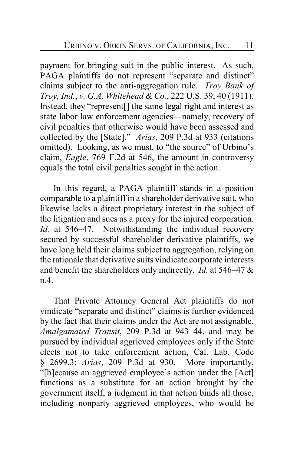payment for bringing suit in the public interest. As such, PAGA plaintiffs do not represent "separate and distinct" claims subject to the anti-aggregation rule. *Troy Bank of Troy, Ind.*, *v. G.A. Whitehead & Co.*, 222 U.S. 39, 40 (1911). Instead, they "represent<sup>[]</sup> the same legal right and interest as state labor law enforcement agencies—namely, recovery of civil penalties that otherwise would have been assessed and collected by the [State]." *Arias*, 209 P.3d at 933 (citations omitted). Looking, as we must, to "the source" of Urbino's claim, *Eagle*, 769 F.2d at 546, the amount in controversy equals the total civil penalties sought in the action.

In this regard, a PAGA plaintiff stands in a position comparable to a plaintiff in a shareholder derivative suit, who likewise lacks a direct proprietary interest in the subject of the litigation and sues as a proxy for the injured corporation. *Id.* at 546–47. Notwithstanding the individual recovery secured by successful shareholder derivative plaintiffs, we have long held their claims subject to aggregation, relying on the rationale that derivative suits vindicate corporate interests and benefit the shareholders only indirectly. *Id.* at 546–47 & n.4.

That Private Attorney General Act plaintiffs do not vindicate "separate and distinct" claims is further evidenced by the fact that their claims under the Act are not assignable, *Amalgamated Transit*, 209 P.3d at 943–44, and may be pursued by individual aggrieved employees only if the State elects not to take enforcement action, Cal. Lab. Code § 2699.3; *Arias*, 209 P.3d at 930. More importantly, "[b]ecause an aggrieved employee's action under the [Act] functions as a substitute for an action brought by the government itself, a judgment in that action binds all those, including nonparty aggrieved employees, who would be